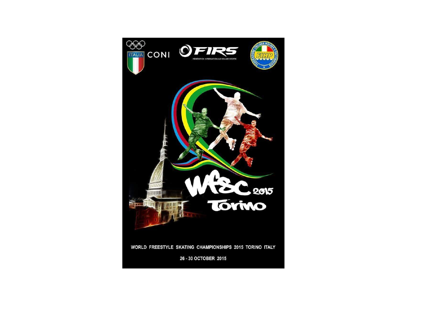